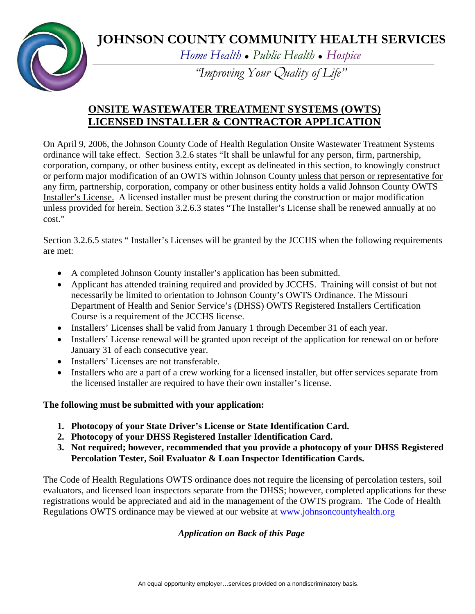# **JOHNSON COUNTY COMMUNITY HEALTH SERVICES**



*Home Health ● Public Health ● Hospice*

*"Improving Your* Q*uality of Life"* 

## **ONSITE WASTEWATER TREATMENT SYSTEMS (OWTS) LICENSED INSTALLER & CONTRACTOR APPLICATION**

On April 9, 2006, the Johnson County Code of Health Regulation Onsite Wastewater Treatment Systems ordinance will take effect. Section 3.2.6 states "It shall be unlawful for any person, firm, partnership, corporation, company, or other business entity, except as delineated in this section, to knowingly construct or perform major modification of an OWTS within Johnson County unless that person or representative for any firm, partnership, corporation, company or other business entity holds a valid Johnson County OWTS Installer's License. A licensed installer must be present during the construction or major modification unless provided for herein. Section 3.2.6.3 states "The Installer's License shall be renewed annually at no cost."

Section 3.2.6.5 states " Installer's Licenses will be granted by the JCCHS when the following requirements are met:

- A completed Johnson County installer's application has been submitted.
- Applicant has attended training required and provided by JCCHS. Training will consist of but not necessarily be limited to orientation to Johnson County's OWTS Ordinance. The Missouri Department of Health and Senior Service's (DHSS) OWTS Registered Installers Certification Course is a requirement of the JCCHS license.
- Installers' Licenses shall be valid from January 1 through December 31 of each year.
- Installers' License renewal will be granted upon receipt of the application for renewal on or before January 31 of each consecutive year.
- Installers' Licenses are not transferable.
- Installers who are a part of a crew working for a licensed installer, but offer services separate from the licensed installer are required to have their own installer's license.

### **The following must be submitted with your application:**

- **1. Photocopy of your State Driver's License or State Identification Card.**
- **2. Photocopy of your DHSS Registered Installer Identification Card.**
- **3. Not required; however, recommended that you provide a photocopy of your DHSS Registered Percolation Tester, Soil Evaluator & Loan Inspector Identification Cards.**

The Code of Health Regulations OWTS ordinance does not require the licensing of percolation testers, soil evaluators, and licensed loan inspectors separate from the DHSS; however, completed applications for these registrations would be appreciated and aid in the management of the OWTS program. The Code of Health Regulations OWTS ordinance may be viewed at our website at [www.johnsoncountyhealth.org](http://www.johnsoncountyhealth.org/)

### *Application on Back of this Page*